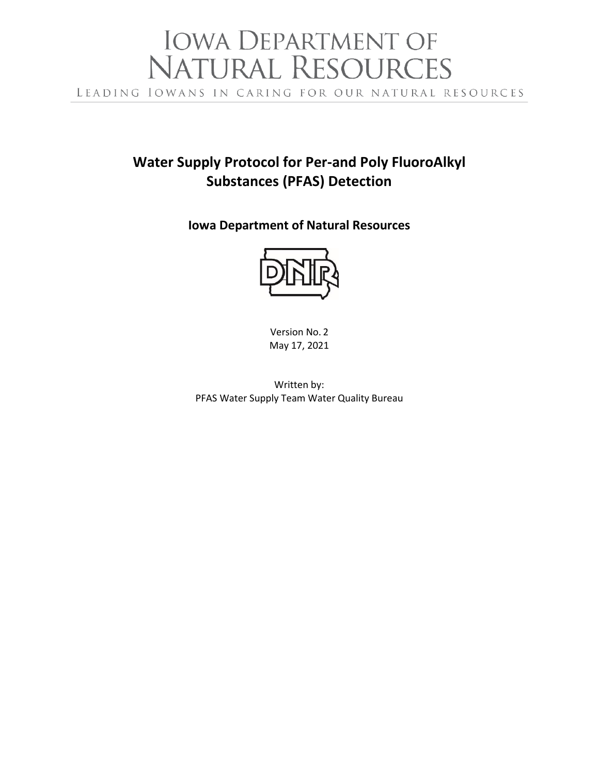# IOWA DEPARTMENT OF<br>NATURAL RESOURCES LEADING IOWANS IN CARING FOR OUR NATURAL RESOURCES

# **Water Supply Protocol for Per-and Poly FluoroAlkyl Substances (PFAS) Detection**

**Iowa Department of Natural Resources**



Version No. 2 May 17, 2021

Written by: PFAS Water Supply Team Water Quality Bureau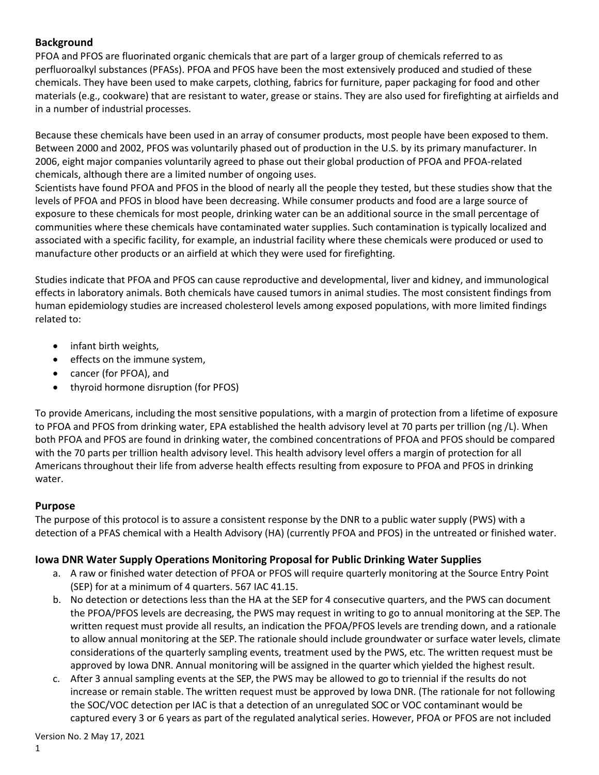#### **Background**

PFOA and PFOS are fluorinated organic chemicals that are part of a larger group of chemicals referred to as perfluoroalkyl substances (PFASs). PFOA and PFOS have been the most extensively produced and studied of these chemicals. They have been used to make carpets, clothing, fabrics for furniture, paper packaging for food and other materials (e.g., cookware) that are resistant to water, grease or stains. They are also used for firefighting at airfields and in a number of industrial processes.

Because these chemicals have been used in an array of consumer products, most people have been exposed to them. Between 2000 and 2002, PFOS was voluntarily phased out of production in the U.S. by its primary manufacturer. In 2006, eight major companies voluntarily agreed to phase out their global production of PFOA and PFOA-related chemicals, although there are a limited number of ongoing uses.

Scientists have found PFOA and PFOS in the blood of nearly all the people they tested, but these studies show that the levels of PFOA and PFOS in blood have been decreasing. While consumer products and food are a large source of exposure to these chemicals for most people, drinking water can be an additional source in the small percentage of communities where these chemicals have contaminated water supplies. Such contamination is typically localized and associated with a specific facility, for example, an industrial facility where these chemicals were produced or used to manufacture other products or an airfield at which they were used for firefighting.

Studies indicate that PFOA and PFOS can cause reproductive and developmental, liver and kidney, and immunological effects in laboratory animals. Both chemicals have caused tumors in animal studies. The most consistent findings from human epidemiology studies are increased cholesterol levels among exposed populations, with more limited findings related to:

- infant birth weights,
- effects on the immune system,
- cancer (for PFOA), and
- thyroid hormone disruption (for PFOS)

To provide Americans, including the most sensitive populations, with a margin of protection from a lifetime of exposure to PFOA and PFOS from drinking water, EPA established the health advisory level at 70 parts per trillion (ng /L). When both PFOA and PFOS are found in drinking water, the combined concentrations of PFOA and PFOS should be compared with the 70 parts per trillion health advisory level. This health advisory level offers a margin of protection for all Americans throughout their life from adverse health effects resulting from exposure to PFOA and PFOS in drinking water.

#### **Purpose**

The purpose of this protocol is to assure a consistent response by the DNR to a public water supply (PWS) with a detection of a PFAS chemical with a Health Advisory (HA) (currently PFOA and PFOS) in the untreated or finished water.

#### **Iowa DNR Water Supply Operations Monitoring Proposal for Public Drinking Water Supplies**

- a. A raw or finished water detection of PFOA or PFOS will require quarterly monitoring at the Source Entry Point (SEP) for at a minimum of 4 quarters. 567 IAC 41.15.
- b. No detection or detections less than the HA at the SEP for 4 consecutive quarters, and the PWS can document the PFOA/PFOS levels are decreasing, the PWS may request in writing to go to annual monitoring at the SEP. The written request must provide all results, an indication the PFOA/PFOS levels are trending down, and a rationale to allow annual monitoring at the SEP. The rationale should include groundwater or surface water levels, climate considerations of the quarterly sampling events, treatment used by the PWS, etc. The written request must be approved by Iowa DNR. Annual monitoring will be assigned in the quarter which yielded the highest result.
- c. After 3 annual sampling events at the SEP, the PWS may be allowed to go to triennial if the results do not increase or remain stable. The written request must be approved by Iowa DNR. (The rationale for not following the SOC/VOC detection per IAC is that a detection of an unregulated SOC or VOC contaminant would be captured every 3 or 6 years as part of the regulated analytical series. However, PFOA or PFOS are not included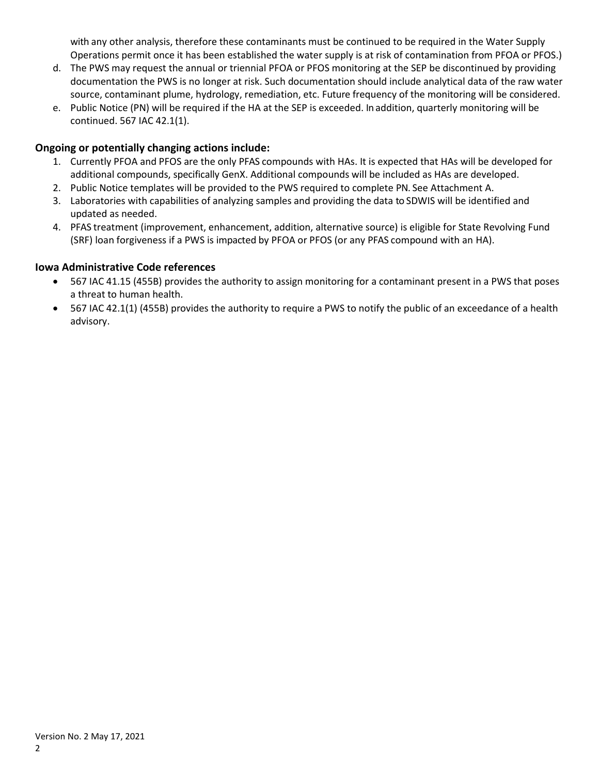with any other analysis, therefore these contaminants must be continued to be required in the Water Supply Operations permit once it has been established the water supply is at risk of contamination from PFOA or PFOS.)

- d. The PWS may request the annual or triennial PFOA or PFOS monitoring at the SEP be discontinued by providing documentation the PWS is no longer at risk. Such documentation should include analytical data of the raw water source, contaminant plume, hydrology, remediation, etc. Future frequency of the monitoring will be considered.
- e. Public Notice (PN) will be required if the HA at the SEP is exceeded. In addition, quarterly monitoring will be continued. 567 IAC 42.1(1).

#### **Ongoing or potentially changing actions include:**

- 1. Currently PFOA and PFOS are the only PFAS compounds with HAs. It is expected that HAs will be developed for additional compounds, specifically GenX. Additional compounds will be included as HAs are developed.
- 2. Public Notice templates will be provided to the PWS required to complete PN. See Attachment A.
- 3. Laboratories with capabilities of analyzing samples and providing the data to SDWIS will be identified and updated as needed.
- 4. PFAS treatment (improvement, enhancement, addition, alternative source) is eligible for State Revolving Fund (SRF) loan forgiveness if a PWS is impacted by PFOA or PFOS (or any PFAS compound with an HA).

#### **Iowa Administrative Code references**

- 567 IAC 41.15 (455B) provides the authority to assign monitoring for a contaminant present in a PWS that poses a threat to human health.
- 567 IAC 42.1(1) (455B) provides the authority to require a PWS to notify the public of an exceedance of a health advisory.